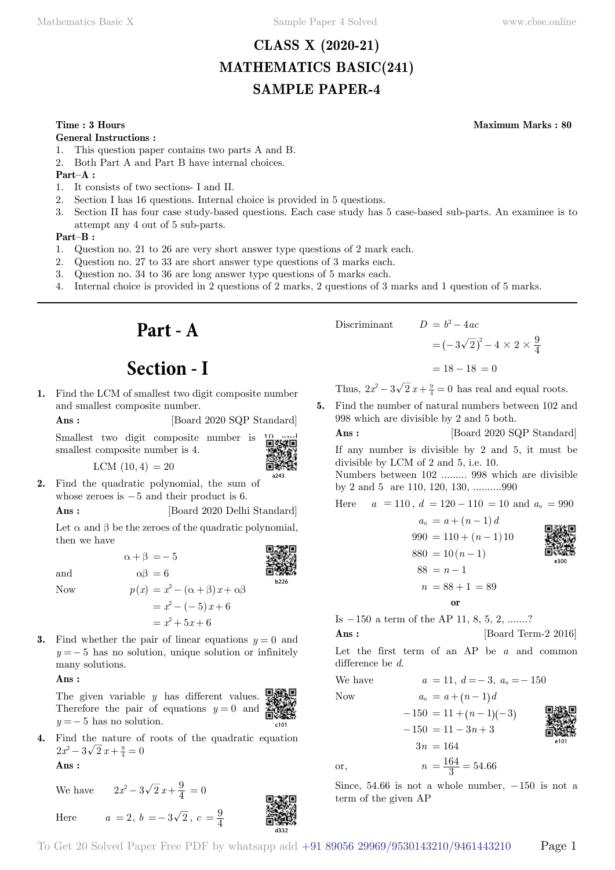# **CLASS X (2020-21) MATHEMATICS BASIC(241) SAMPLE PAPER-4**

### **General Instructions :**

- 1. This question paper contains two parts A and B.
- 2. Both Part A and Part B have internal choices.

# **Part–A :**

- 1. It consists of two sections- I and II.
- 2. Section I has 16 questions. Internal choice is provided in 5 questions.
- 3. Section II has four case study-based questions. Each case study has 5 case-based sub-parts. An examinee is to attempt any 4 out of 5 sub-parts.

### **Part–B :**

- 1. Question no. 21 to 26 are very short answer type questions of 2 mark each.
- 2. Question no. 27 to 33 are short answer type questions of 3 marks each.
- 3. Question no. 34 to 36 are long answer type questions of 5 marks each.
- 4. Internal choice is provided in 2 questions of 2 marks, 2 questions of 3 marks and 1 question of 5 marks.

# **Part - A**

# **Section - I**

**1.** Find the LCM of smallest two digit composite number and smallest composite number.

**Ans :** [Board 2020 SQP Standard]

Smallest two digit composite number is  $\frac{10}{2}$ smallest composite number is 4.

LCM  $(10, 4) = 20$ 

**2.** Find the quadratic polynomial, the sum of whose zeroes is  $-5$  and their product is 6.

 $\alpha + \beta = -5$ 

**Ans :** [Board 2020 Delhi Standard]

Let  $\alpha$  and  $\beta$  be the zeroes of the quadratic polynomial, then we have

and  $\alpha\beta = 6$ 

Now  $p(x) = x^2 - (\alpha + \beta)x + \alpha\beta$ 

$$
F(x) = x^2 - (-5)x + 6
$$
  
=  $x^2 + 5x + 6$ 

**3.** Find whether the pair of linear equations  $y = 0$  and  $y = -5$  has no solution, unique solution or infinitely many solutions.

# **Ans :**

The given variable *y* has different values. Therefore the pair of equations  $y = 0$  and  $y = -5$  has no solution.

**4.** Find the nature of roots of the quadratic equation  $2x^2 - 3\sqrt{2}x + \frac{9}{4} = 0$ 

Here  $a = 2, b = -3\sqrt{2}, c = \frac{9}{4}$ 

 **Ans :**

We have  $2x^2 - 3\sqrt{2}x + \frac{9}{4} = 0$ 



**Time : 3 Hours Maximum Marks : 80**

Discriminant  $D = b^2 - 4ac$ 

$$
=(-3\sqrt{2})^2-4\times 2\times \frac{9}{4}
$$

$$
= 18 - 18 = 0
$$

Thus,  $2x^2 - 3\sqrt{2}x + \frac{9}{4} = 0$  has real and equal roots.

**5.** Find the number of natural numbers between 102 and 998 which are divisible by 2 and 5 both.

**Ans :** [Board 2020 SQP Standard]

If any number is divisible by 2 and 5, it must be divisible by LCM of 2 and 5, i.e. 10.

Numbers between 102 ......... 998 which are divisible by 2 and 5 are 110, 120, 130, ..........990

Here 
$$
a = 110
$$
,  $d = 120 - 110 = 10$  and  $a_n = 990$ 

$$
a_n = a + (n - 1)d
$$
  
\n
$$
990 = 110 + (n - 1)10
$$
  
\n
$$
880 = 10(n - 1)
$$
  
\n
$$
88 = n - 1
$$
  
\n
$$
n = 88 + 1 = 89
$$

 **o**

Is  $-150$  a term of the AP 11, 8, 5, 2, .......?

**Ans :** [Board Term-2 2016]

Let the first term of an AP be *a* and common difference be *d*.

We have  $a = 11, d = -3, a_n = -150$ 

 $-150 = 11 - 3n + 3$  $3n = 164$ 

Now 
$$
a_n = a + (n-1)d
$$
  
-150 = 11 +  $(n-1)($ 

 $-150 = 11 + (n - 1)(-3)$ 



or,  $n = \frac{164}{3} = 54.66$ 

Since, 54.66 is not a whole number,  $-150$  is not a term of the given AP

To Get 20 Solved Paper Free PDF by whatsapp add +91 89056 29969/9530143210/9461443210 Page 1



h<sub>226</sub>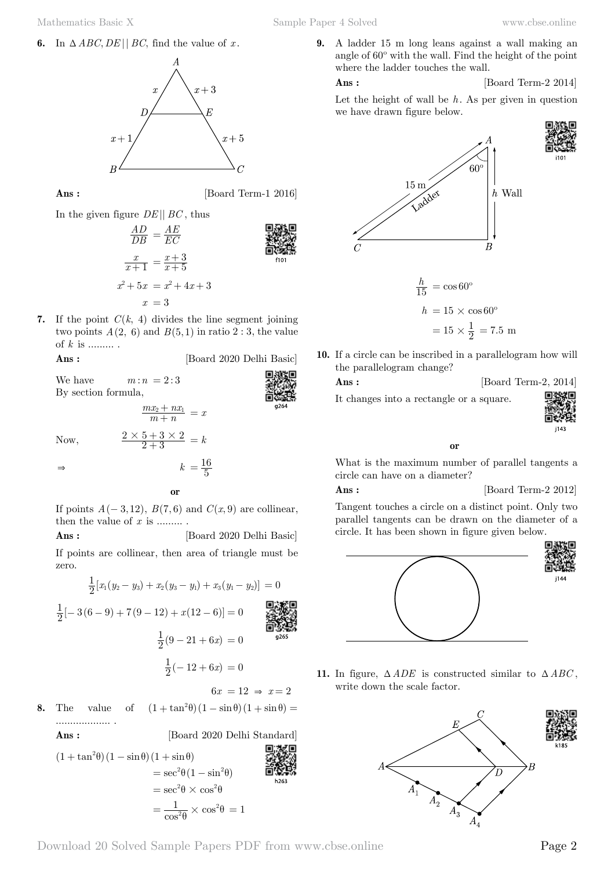

**Ans :** [Board Term-1 2016]

In the given figure *DE*|| *BC* , thus



**7.** If the point  $C(k, 4)$  divides the line segment joining two points  $A(2, 6)$  and  $B(5, 1)$  in ratio 2 : 3, the value of *k* is ......... .

 **Ans :** [Board 2020 Delhi Basic]

We have  $m:n=2:3$ By section formula,

$$
\frac{mx_2 + nx_1}{m+n} = x
$$

Now,



 **o**

If points  $A(-3, 12)$ ,  $B(7, 6)$  and  $C(x, 9)$  are collinear, then the value of *x* is ......... .

**Ans :** [Board 2020 Delhi Basic]

If points are collinear, then area of triangle must be zero.

$$
\frac{1}{2}[x_1(y_2 - y_3) + x_2(y_3 - y_1) + x_3(y_1 - y_2)] = 0
$$
\n
$$
\frac{1}{2}[-3(6-9) + 7(9-12) + x(12-6)] = 0
$$
\n
$$
\frac{1}{2}(9-21+6x) = 0
$$
\n
$$
\frac{1}{2}(-12+6x) = 0
$$
\n
$$
\frac{1}{2}(-12+6x) = 0
$$

 $6x = 12 \Rightarrow x = 2$ **8.** The value of  $(1 + \tan^2\theta)(1 - \sin\theta)(1 + \sin\theta) =$ ................... .

Ans: [Board 2020 Delhi Standard]  
\n
$$
(1 + \tan^2 \theta) (1 - \sin \theta) (1 + \sin \theta)
$$
\n
$$
= \sec^2 \theta (1 - \sin^2 \theta)
$$
\n
$$
= \sec^2 \theta \times \cos^2 \theta
$$
\n
$$
= \frac{1}{\cos^2 \theta} \times \cos^2 \theta = 1
$$

**9.** A ladder 15 m long leans against a wall making an angle of 60º with the wall. Find the height of the point where the ladder touches the wall.

**Ans :** [Board Term-2 2014] Let the height of wall be  $h$ . As per given in question we have drawn figure below.



**10.** If a circle can be inscribed in a parallelogram how will the parallelogram change?

**Ans :** [Board Term-2, 2014]

It changes into a rectangle or a square.



 **o**

What is the maximum number of parallel tangents a circle can have on a diameter?

# **Ans :** [Board Term-2 2012]

Tangent touches a circle on a distinct point. Only two parallel tangents can be drawn on the diameter of a circle. It has been shown in figure given below.



**11.** In figure,  $\triangle ADE$  is constructed similar to  $\triangle ABC$ , write down the scale factor.



Download 20 Solved Sample Papers PDF from [www.cbse.online](http://www.cbse.online) Page 2



$$
\frac{2 \times 5 + 3 \times 2}{2 + 3} = k
$$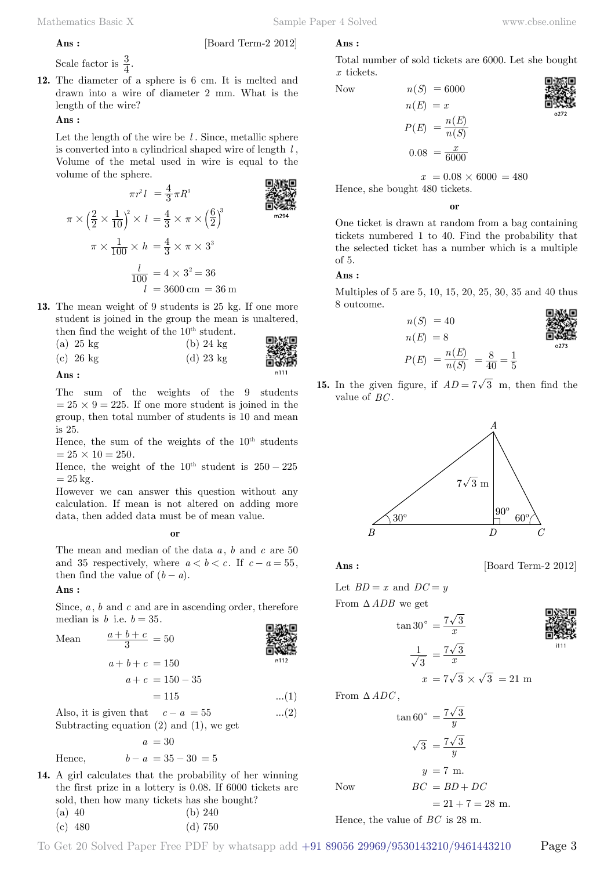#### **Ans :** [Board Term-2 2012]

Scale factor is  $\frac{3}{4}$ .

**12.** The diameter of a sphere is 6 cm. It is melted and drawn into a wire of diameter 2 mm. What is the length of the wire?

# **Ans :**

Let the length of the wire be *l* . Since, metallic sphere is converted into a cylindrical shaped wire of length *l* , Volume of the metal used in wire is equal to the volume of the sphere. 回游街回

$$
\pi r^{2} l = \frac{4}{3} \pi R^{3}
$$
\n
$$
\pi \times \left(\frac{2}{2} \times \frac{1}{10}\right)^{2} \times l = \frac{4}{3} \times \pi \times \left(\frac{6}{2}\right)^{3}
$$
\n
$$
\pi \times \frac{1}{100} \times h = \frac{4}{3} \times \pi \times 3^{3}
$$
\n
$$
\frac{l}{100} = 4 \times 3^{2} = 36
$$
\n
$$
l = 3600 \text{ cm} = 36 \text{ m}
$$

**13.** The mean weight of 9 students is 25 kg. If one more student is joined in the group the mean is unaltered, then find the weight of the  $10<sup>th</sup>$  student.

| $(a)$ 25 kg | $(b)$ 24 kg |  |
|-------------|-------------|--|
| $(c)$ 26 kg | $(d)$ 23 kg |  |



 **Ans :**

The sum of the weights of the 9 students  $= 25 \times 9 = 225$ . If one more student is joined in the group, then total number of students is 10 and mean is 25.

Hence, the sum of the weights of the  $10<sup>th</sup>$  students  $= 25 \times 10 = 250.$ 

Hence, the weight of the  $10^{th}$  student is  $250 - 225$  $= 25 \text{ kg}.$ 

However we can answer this question without any calculation. If mean is not altered on adding more data, then added data must be of mean value.

 **o**

The mean and median of the data *a* , *b* and *c* are 50 and 35 respectively, where  $a < b < c$ . If  $c - a = 55$ , then find the value of  $(b - a)$ .

### **Ans :**

Since,  $a, b$  and  $c$  and are in ascending order, therefore median is *b* i.e.  $b = 35$ . 同級問

Mean 
$$
\frac{a+b+c}{3} = 50
$$
  
\n $a+b+c = 150$   
\n $a+c = 150 - 35$   
\n $= 115$  ...(1)

Also, it is given that  $c - a = 55$  ...(2) Subtracting equation  $(2)$  and  $(1)$ , we get

 $a = 30$ 

Hence,  $b - a = 35 - 30 = 5$ 

- **14.** A girl calculates that the probability of her winning the first prize in a lottery is 0.08. If 6000 tickets are sold, then how many tickets has she bought? (a) 40 (b) 240
	- (c) 480 (d) 750

# **Ans :**

Total number of sold tickets are 6000. Let she bought *x* tickets.

Now 
$$
n(S) = 6000
$$
  
 $n(E) = x$ 

$$
n(E) = x
$$

$$
P(E) = \frac{n(E)}{n(S)}
$$

$$
0.08 = \frac{x}{6000}
$$

 $x = 0.08 \times 6000 = 480$ 

Hence, she bought 480 tickets.

 **o**

One ticket is drawn at random from a bag containing tickets numbered 1 to 40. Find the probability that the selected ticket has a number which is a multiple of 5.

# **Ans :**

Multiples of 5 are 5, 10, 15, 20, 25, 30, 35 and 40 thus 8 outcome.

$$
n(S) = 40
$$
\n
$$
n(E) = 8
$$
\n
$$
P(E) = \frac{n(E)}{n(S)} = \frac{8}{40} = \frac{1}{5}
$$
\n
$$
P(E) = \frac{n(E)}{n(S)} = \frac{8}{40} = \frac{1}{5}
$$

**15.** In the given figure, if  $AD = 7\sqrt{3}$  m, then find the value of *BC* .



**Ans :** [Board Term-2 2012]

Let  $BD = x$  and  $DC = y$ 

From  $\triangle$  *ADB* we get





$$
x = 7\sqrt{3} \times \sqrt{3} = 21 \text{ m}
$$

From  $\triangle ADC$ ,

$$
\tan 60^{\circ} = \frac{7\sqrt{3}}{y}
$$

$$
\sqrt{3} = \frac{7\sqrt{3}}{y}
$$

$$
y = 7 \text{ m.}
$$

$$
BC = BD + DC
$$

$$
= 21 + 7 = 28 \text{ m.}
$$

Hence, the value of *BC* is 28 m.

To Get 20 Solved Paper Free PDF by whatsapp add  $+91$  89056 29969/9530143210/9461443210 Page 3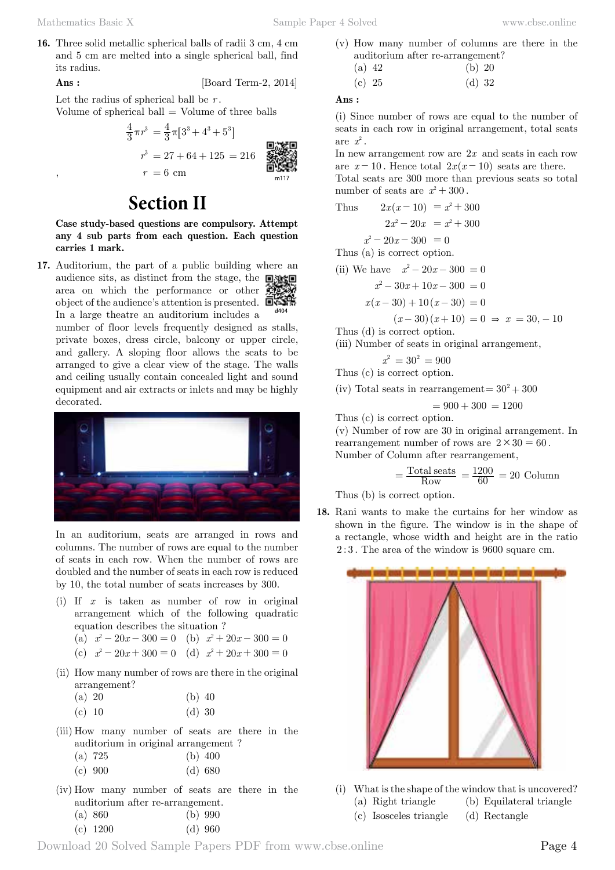**16.** Three solid metallic spherical balls of radii 3 cm, 4 cm and 5 cm are melted into a single spherical ball, find its radius.

**Ans :** [Board Term-2, 2014]

Let the radius of spherical ball be *r* .

Volume of spherical ball  $=$  Volume of three balls

$$
\frac{4}{3}\pi r^3 = \frac{4}{3}\pi [3^3 + 4^3 + 5^3]
$$
\n
$$
r^3 = 27 + 64 + 125 = 216
$$
\n  
\n
$$
r = 6 \text{ cm}
$$
\n  
\n
$$
r = 125 \text{ cm}
$$
\n  
\n
$$
r = 6 \text{ cm}
$$
\n  
\n
$$
r = 6 \text{ cm}
$$

# **Section II**

**Case study-based questions are compulsory. Attempt any 4 sub parts from each question. Each question carries 1 mark.**

**17.** Auditorium, the part of a public building where an audience sits, as distinct from the stage, the  $\Box$ area on which the performance or other object of the audience's attention is presented.  $\overrightarrow{B}$ d404 In a large theatre an auditorium includes a

number of floor levels frequently designed as stalls, private boxes, dress circle, balcony or upper circle, and gallery. A sloping floor allows the seats to be arranged to give a clear view of the stage. The walls and ceiling usually contain concealed light and sound equipment and air extracts or inlets and may be highly decorated.



In an auditorium, seats are arranged in rows and columns. The number of rows are equal to the number of seats in each row. When the number of rows are doubled and the number of seats in each row is reduced by 10, the total number of seats increases by 300.

(i) If *x* is taken as number of row in original arrangement which of the following quadratic equation describes the situation ?

(a) 
$$
x^2 - 20x - 300 = 0
$$
 (b)  $x^2 + 20x - 300 = 0$ 

(c) 
$$
x^2 - 20x + 300 = 0
$$
 (d)  $x^2 + 20x + 300 = 0$ 

(ii) How many number of rows are there in the original arrangement?

(a) 20 (b) 40

- (c)  $10$  (d)  $30$
- (iii) How many number of seats are there in the auditorium in original arrangement ?

| (a) 725 | $(b)$ 400 |
|---------|-----------|
|---------|-----------|

- (c) 900 (d) 680
- (iv) How many number of seats are there in the auditorium after re-arrangement.
	- (a) 860 (b) 990
	- (c) 1200 (d) 960

(v) How many number of columns are there in the auditorium after re-arrangement?<br> $(a)$ , 42

(a) 42 (b) 20 (c) 25 (d) 32

 **Ans :**

(i) Since number of rows are equal to the number of seats in each row in original arrangement, total seats are  $x^2$ .

In new arrangement row are 2*x* and seats in each row are  $x - 10$ . Hence total  $2x(x - 10)$  seats are there. Total seats are 300 more than previous seats so total number of seats are  $x^2 + 300$ .

Thus 
$$
2x(x-10) = x^2 + 300
$$
  
\n $2x^2 - 20x = x^2 + 300$   
\n $x^2 - 20x - 300 = 0$   
\nThus (a) is correct option.

(ii) We have  $x^2 - 20x - 300 = 0$ 

$$
x^2 - 30x + 10x - 300 = 0
$$

$$
x(x-30) + 10(x-30) = 0
$$

$$
(x-30)(x+10) = 0 \Rightarrow x = 30, -10
$$

Thus (d) is correct option.

(iii) Number of seats in original arrangement,

 $x^2 = 30^2 = 900$ 

Thus (c) is correct option.

(iv) Total seats in rearrangement =  $30^2 + 300$ 

$$
= 900 + 300 = 1200
$$

Thus (c) is correct option.

(v) Number of row are 30 in original arrangement. In rearrangement number of rows are  $2 \times 30 = 60$ . Number of Column after rearrangement,

$$
= \frac{\text{Total seats}}{\text{Row}} = \frac{1200}{60} = 20 \text{ Column}
$$

Thus (b) is correct option.

**18.** Rani wants to make the curtains for her window as shown in the figure. The window is in the shape of a rectangle, whose width and height are in the ratio 2 3: . The area of the window is 9600 square cm.



- (i) What is the shape of the window that is uncovered?
	- (a) Right triangle (b) Equilateral triangle
	- (c) Isosceles triangle (d) Rectangle
		-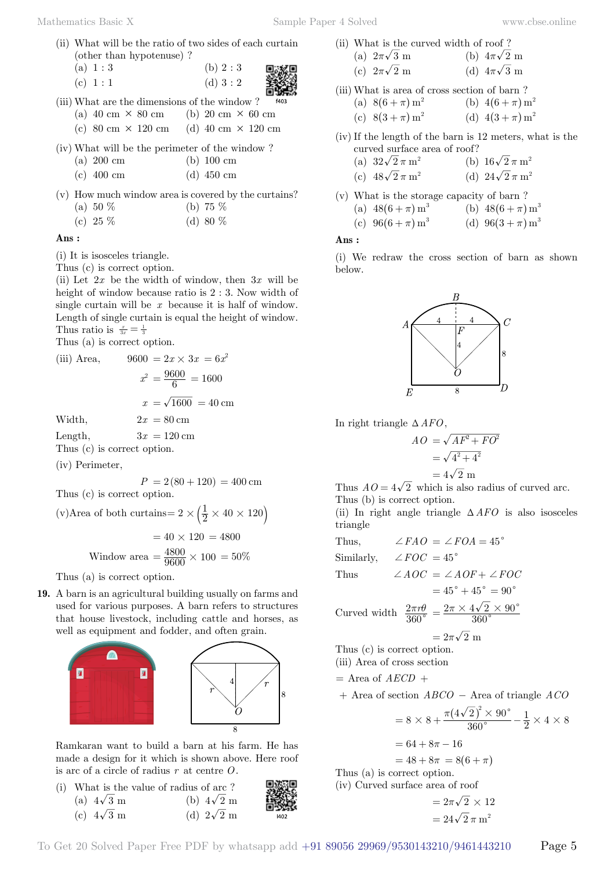- (ii) What will be the ratio of two sides of each curtain (other than hypotenuse) ?
	- (a)  $1:3$  (b)  $2:3$ (c)  $1:1$  (d)  $3:2$

| . . | 5.02 |
|-----|------|

(iii) What are the dimensions of the window ? (a) 40 cm  $\times$  80 cm (b) 20 cm  $\times$  60 cm

- (c) 80 cm  $\times$  120 cm (d) 40 cm  $\times$  120 cm
- (iv) What will be the perimeter of the window ?

- (c) 400 cm (d) 450 cm
- (v) How much window area is covered by the curtains? (a)  $50\%$  (b)  $75\%$

| (c) 25 $%$ | (d) 80 $%$ |  |  |
|------------|------------|--|--|
|------------|------------|--|--|

# **Ans :**

(i) It is isosceles triangle.

- Thus (c) is correct option.
- (ii) Let 2*x* be the width of window, then 3*x* will be height of window because ratio is 2 : 3. Now width of single curtain will be *x* because it is half of window. Length of single curtain is equal the height of window. Thus ratio is  $\frac{x}{3x} = \frac{1}{3}$

Thus (a) is correct option.

(iii) Area, 
$$
9600 = 2x \times 3x = 6x^2
$$

$$
x^2 = \frac{9600}{6} = 1600
$$

$$
x = \sqrt{1600} = 40 \text{ cm}
$$

Width,  $2x = 80 \text{ cm}$ 

Length,  $3x = 120$  cm

Thus (c) is correct option.

(iv) Perimeter,

$$
P = 2(80 + 120) = 400 \,\mathrm{cm}
$$

Thus (c) is correct option.

(v)Area of both curtains = 
$$
2 \times \left(\frac{1}{2} \times 40 \times 120\right)
$$

$$
= 40 \times 120 = 4800
$$
  
Window area 
$$
= \frac{4800}{9600} \times 100 = 50\%
$$

Thus (a) is correct option.

**19.** A barn is an agricultural building usually on farms and used for various purposes. A barn refers to structures that house livestock, including cattle and horses, as well as equipment and fodder, and often grain.



Ramkaran want to build a barn at his farm. He has made a design for it which is shown above. Here roof is arc of a circle of radius *r* at centre *O*.

(i) What is the value of radius of arc ? (a)  $4\sqrt{3}$  m (b)  $4\sqrt{2}$  m (c)  $4\sqrt{3}$  m (d)  $2\sqrt{2}$  m

|  |                      | (ii) What is the curved width of roof? |
|--|----------------------|----------------------------------------|
|  | (a) $2\pi\sqrt{3}$ m | (b) $4\pi\sqrt{2}$ m                   |
|  | (c) $2\pi\sqrt{2}$ m | (d) $4\pi\sqrt{3}$ m                   |

- (iii) What is area of cross section of barn ? (a)  $8(6 + \pi) m^2$  (b)  $4(6 + \pi) m^2$ (c)  $8(3 + \pi) m^2$  (d)  $4(3 + \pi) m^2$
- (iv) If the length of the barn is 12 meters, what is the curved surface area of roof?
	- (a)  $32\sqrt{2} \pi \text{ m}^2$  *(b)*  $16\sqrt{2} \pi \text{ m}^2$
	- (c)  $48\sqrt{2}\,\pi\,\text{m}^2$  *(d)*  $24\sqrt{2}\,\pi\,\text{m}^2$
- (v) What is the storage capacity of barn ? (a)  $48(6 + \pi) \text{ m}^3$  (b)  $48(6 + \pi) \text{ m}^3$ (c)  $96(6 + \pi) m^3$  (d)  $96(3 + \pi) m^3$

### **Ans :**

(i) We redraw the cross section of barn as shown below.



In right triangle  $\triangle AFO$ ,

$$
AO = \sqrt{AF^2 + FO^2}
$$

$$
= \sqrt{4^2 + 4^2}
$$

$$
= 4\sqrt{2} m
$$

Thus  $AO = 4\sqrt{2}$  which is also radius of curved arc. Thus (b) is correct option.

(ii) In right angle triangle  $\triangle AFO$  is also isosceles triangle

Thus, 
$$
\angle FAO = \angle FOA = 45^{\circ}
$$

Similarly,  $\angle FOC = 45^\circ$ 

Thus  $\angle AOC = \angle AOF + \angle FOC$ 

$$
= 45^{\circ} + 45^{\circ} = 90^{\circ}
$$

Curved width  $\frac{2\pi r}{360}$ 2  $^{\circ}$ *π θ* 360  $2\pi\times 4\sqrt{2}\times 90$  $= \frac{2\pi\times4\sqrt{2\times90^{\circ}}}{360^{\circ}}$ 

$$
=2\pi\sqrt{2} \text{ m}
$$

Thus (c) is correct option.

(iii) Area of cross section

$$
=
$$
 Area of  $AECD +$ 

+ Area of section *ABCO* - Area of triangle *ACO*

$$
= 8 \times 8 + \frac{\pi (4\sqrt{2})^2 \times 90^{\circ}}{360^{\circ}} - \frac{1}{2} \times 4 \times 8
$$

$$
= 64 + 8\pi - 16
$$

 $= 48 + 8\pi = 8(6 + \pi)$ 

Thus (a) is correct option.

(iv) Curved surface area of roof

$$
= 2\pi\sqrt{2} \times 12
$$

$$
= 24\sqrt{2} \pi \,\mathrm{m}^2
$$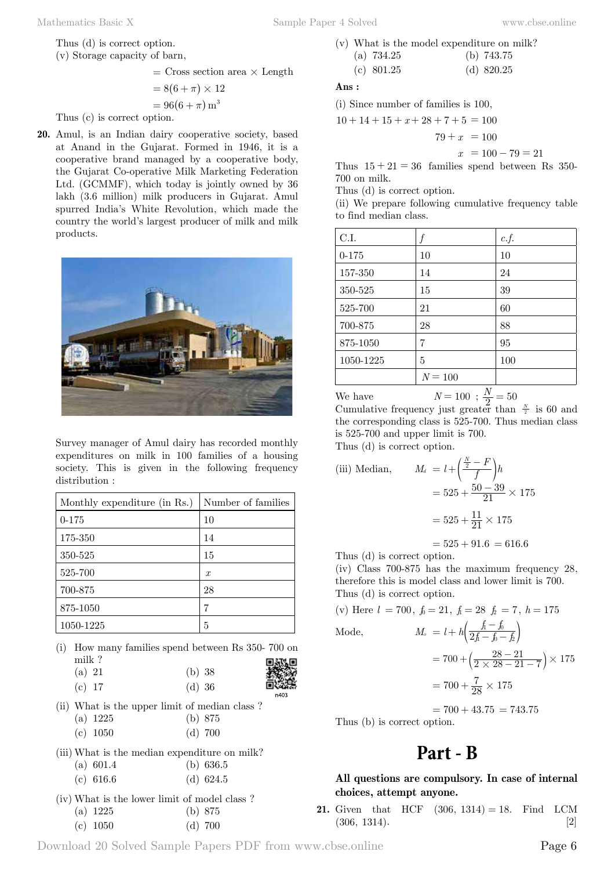Mathematics Basic X Sample Paper 4 Solved www.cbse.online

Thus (d) is correct option.

(v) Storage capacity of barn,

$$
= \text{Cross section area} \times \text{Length}
$$

$$
= 8(6+\pi) \times 12
$$

$$
=96(6+\pi)\,\mathrm{m}^3
$$

Thus (c) is correct option.

**20.** Amul, is an Indian dairy cooperative society, based at Anand in the Gujarat. Formed in 1946, it is a cooperative brand managed by a cooperative body, the Gujarat Co-operative Milk Marketing Federation Ltd. (GCMMF), which today is jointly owned by 36 lakh (3.6 million) milk producers in Gujarat. Amul spurred India's White Revolution, which made the country the world's largest producer of milk and milk products.



Survey manager of Amul dairy has recorded monthly expenditures on milk in 100 families of a housing society. This is given in the following frequency distribution :

| Monthly expenditure (in Rs.) | Number of families |
|------------------------------|--------------------|
| $0 - 175$                    | 10                 |
| 175-350                      | 14                 |
| 350-525                      | 15                 |
| 525-700                      | $\mathcal{X}$      |
| 700-875                      | 28                 |
| 875-1050                     | 7                  |
| 1050-1225                    | 5                  |

(i) How many families spend between Rs 350- 700 on milk ?

| (a) 21 | (b) 38   |
|--------|----------|
| (c) 17 | $(d)$ 36 |

(ii) What is the upper limit of median class ? (a) 1225 (b) 875

| (c) 1050 |  |  | $(d)$ 700 |
|----------|--|--|-----------|
|----------|--|--|-----------|

(iii) What is the median expenditure on milk?<br>(a)  $601.4$  (b)  $636.5$ (b) 636.5

| $\alpha$ , $\alpha$ , $\alpha$ | $(v)$ voo.  |
|--------------------------------|-------------|
| $(c)$ 616.6                    | (d) $624.5$ |

(iv) What is the lower limit of model class ? (a) 1225 (b) 875

(c) 
$$
1050
$$
 (d) 700

(v) What is the model expenditure on milk?  
\n(a) 
$$
734.25
$$
  
\n(b)  $743.75$   
\n(c)  $801.25$   
\n(d)  $820.25$ 

# **Ans :**

(i) Since number of families is 100,  

$$
10 + 14 + 15 + x + 28 + 7 + 5 = 10
$$

$$
-15 + x + 28 + 7 + 5 = 100
$$

$$
79 \pm x = 100
$$

$$
x = 100 - 79 = 21
$$

Thus  $15 + 21 = 36$  families spend between Rs 350-700 on milk.

Thus (d) is correct option.

(ii) We prepare following cumulative frequency table to find median class.

| C.I.      |                           | c.f. |
|-----------|---------------------------|------|
| $0 - 175$ | 10                        | 10   |
| 157-350   | 14                        | 24   |
| 350-525   | 15                        | 39   |
| 525-700   | 21                        | 60   |
| 700-875   | 28                        | 88   |
| 875-1050  | 7                         | 95   |
| 1050-1225 | 5                         | 100  |
|           | $N\,{=}\,100$             |      |
|           | $\mathbf{A}$ $\mathbf{L}$ |      |

We have  $N = 100$ ;  $\frac{N}{2} = 50$ <br>Cumulative frequency just greater than  $\frac{N}{2}$  is 60 and the corresponding class is 525-700. Thus median class is 525-700 and upper limit is 700. Thus (d) is correct option.

(iii) Median, 
$$
M_d = l + \left(\frac{\frac{N}{2} - F}{f}\right)h
$$

$$
= 525 + \frac{50 - 39}{21} \times 175
$$

$$
= 525 + \frac{11}{21} \times 175
$$

$$
= 525 + 91.6 = 616.6
$$

Thus (d) is correct option.

 $(iv)$  Class 700-875 has the maximum frequency 28, therefore this is model class and lower limit is 700. Thus (d) is correct option.

(v) Here  $l = 700$ ,  $f_0 = 21$ ,  $f_1 = 28$   $f_2 = 7$ ,  $h = 175$ 

 $n403$ 

Mode,  
\n
$$
M_o = l + h \left( \frac{f_i - f_b}{2f_i - f_b - f_b} \right)
$$
\n
$$
= 700 + \left( \frac{28 - 21}{2 \times 28 - 21 - 7} \right) \times 175
$$
\n
$$
= 700 + \frac{7}{28} \times 175
$$

$$
= 700 + 43.75 = 743.75
$$

Thus (b) is correct option.

# **Part - B**

**All questions are compulsory. In case of internal choices, attempt anyone.**

**21.** Given that HCF  $(306, 1314) = 18$ . Find LCM  $(306, 1314).$  [2]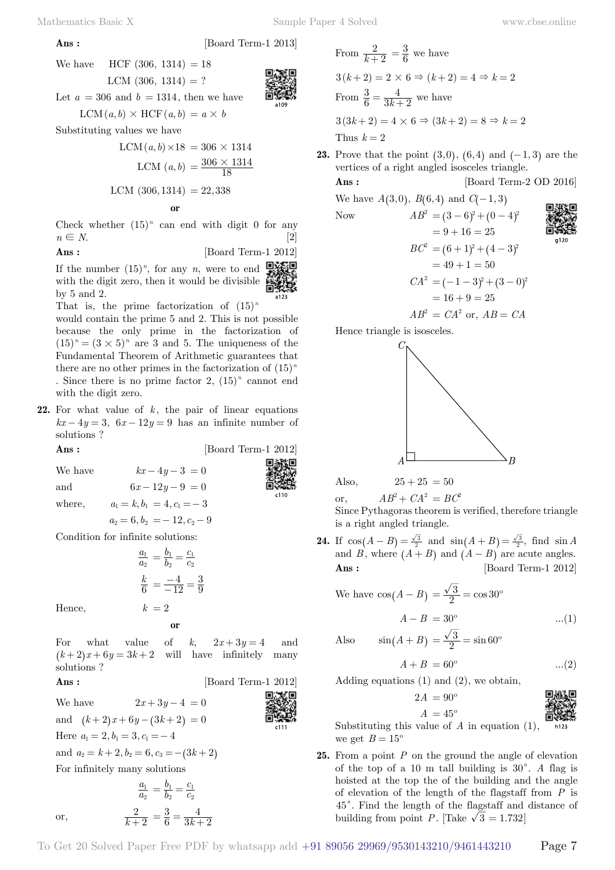We have HCF 
$$
(306, 1314) = 18
$$

$$
LCM (306, 1314) = ?
$$



[Board Term-1 2013]

Let  $a = 306$  and  $b = 1314$ , then we have

$$
LCM(a, b) \times HCF(a, b) = a \times b
$$

Substituting values we have

$$
LCM(a, b) \times 18 = 306 \times 1314
$$

$$
LCM(a, b) = \frac{306 \times 1314}{18}
$$

LCM  $(306, 1314) = 22,338$ 

# **o**

Check whether  $(15)^n$  can end with digit 0 for any  $n \in N$ . [2]

$$
Ans: \qquad \qquad [\text{Board Term-1 2012}]
$$

If the number  $(15)^n$ , for any *n*, were to end with the digit zero, then it would be divisible by 5 and 2.

That is, the prime factorization of  $(15)^n$ would contain the prime 5 and 2. This is not possible because the only prime in the factorization of  $(15)^n = (3 \times 5)^n$  are 3 and 5. The uniqueness of the Fundamental Theorem of Arithmetic guarantees that there are no other primes in the factorization of  $(15)^n$ . Since there is no prime factor 2,  $(15)^n$  cannot end with the digit zero.

**22.** For what value of  $k$ , the pair of linear equations  $kx - 4y = 3$ ,  $6x - 12y = 9$  has an infinite number of solutions ?

| Ans:    |                               | [Board Term-1 2012] |
|---------|-------------------------------|---------------------|
| We have | $kx-4y-3=0$                   |                     |
| and     | $6x-12y-9=0$                  | c110                |
| where,  | $a_1 = k, b_1 = 4, c_1 = -3$  |                     |
|         | $a_2 = 6, b_2 = -12, c_2 - 9$ |                     |

Condition for infinite solutions:

$$
\frac{a_1}{a_2} = \frac{b_1}{b_2} = \frac{c_1}{c_2}
$$

$$
\frac{k}{6} = \frac{-4}{-12} = \frac{3}{9}
$$

Hence,  $k = 2$ 

$$
\overline{\text{or}}
$$

For what value of k,  $2x+3y=4$  and  $(k + 2)x + 6y = 3k + 2$  will have infinitely many solutions ?

# **Ans :** [Board Term-1 2012]

We have  $2x + 3y - 4 = 0$ and  $(k + 2)x + 6y - (3k + 2) = 0$ Here  $a_1 = 2, b_1 = 3, c_1 = -4$ and  $a_2 = k + 2, b_2 = 6, c_3 = -(3k + 2)$ For infinitely many solutions

or,  

$$
\frac{a_1}{a_2} = \frac{b_1}{b_2} = \frac{c_1}{c_2}
$$

$$
\frac{2}{k+2} = \frac{3}{6} = \frac{4}{3k+2}
$$

From 
$$
\frac{2}{k+2} = \frac{3}{6}
$$
 we have  
\n $3(k+2) = 2 \times 6 \Rightarrow (k+2) = 4 \Rightarrow k = 2$   
\nFrom  $\frac{3}{6} = \frac{4}{3k+2}$  we have  
\n $3(3k+2) = 4 \times 6 \Rightarrow (3k+2) = 8 \Rightarrow k = 2$   
\nThus  $k = 2$ 

**23.** Prove that the point  $(3,0)$ ,  $(6,4)$  and  $(-1,3)$  are the vertices of a right angled isosceles triangle.

 **Ans :** [Board Term-2 OD 2016]

We have  $A(3,0), B(6,4)$  and  $C(-1, 3)$ Now  $AB^2 = (3-6)^2 + (0-4)^2$  $= 9 + 16 = 25$  $BC<sup>2</sup> = (6 + 1)<sup>2</sup> + (4 - 3)<sup>2</sup>$  $= 49 + 1 = 50$ 

$$
CA2 = (-1-3)2 + (3-0)2
$$
  
= 16 + 9 = 25

$$
AB^2 = CA^2 \text{ or, } AB = CA
$$

Hence triangle is isosceles.



Also,  $25 + 25 = 50$ 

or, 
$$
AB^2 + CA^2 = BC^2
$$

Since Pythagoras theorem is verified, therefore triangle is a right angled triangle.

**24.** If  $\cos(A - B) = \frac{\sqrt{3}}{2}$  and  $\sin(A + B) = \frac{\sqrt{3}}{2}$ , find  $\sin A$ and *B*, where  $(A + B)$  and  $(A - B)$  are acute angles. **Ans :** [Board Term-1 2012]

We have 
$$
\cos(A - B) = \frac{\sqrt{3}}{2} = \cos 30^{\circ}
$$
  
\n $A - B = 30^{\circ}$  ...(1)  
\nAlso  $\sin(A + B) = \frac{\sqrt{3}}{2} = \sin 60^{\circ}$ 

$$
A + B = 60^{\circ}
$$
...(2)

Adding equations (1) and (2), we obtain,

$$
2A = 90^{\circ}
$$
  

$$
A = 45^{\circ}
$$

Substituting this value of *A* in equation (1), h123 we get  $B = 15^{\circ}$ 

**25.** From a point *P* on the ground the angle of elevation of the top of a 10 m tall building is  $30^\circ$ . *A* flag is hoisted at the top the of the building and the angle of elevation of the length of the flagstaff from *P* is 45<sup>°</sup>. Find the length of the flagstaff and distance of building from point *P*. [Take  $\sqrt{3} = 1.732$ ]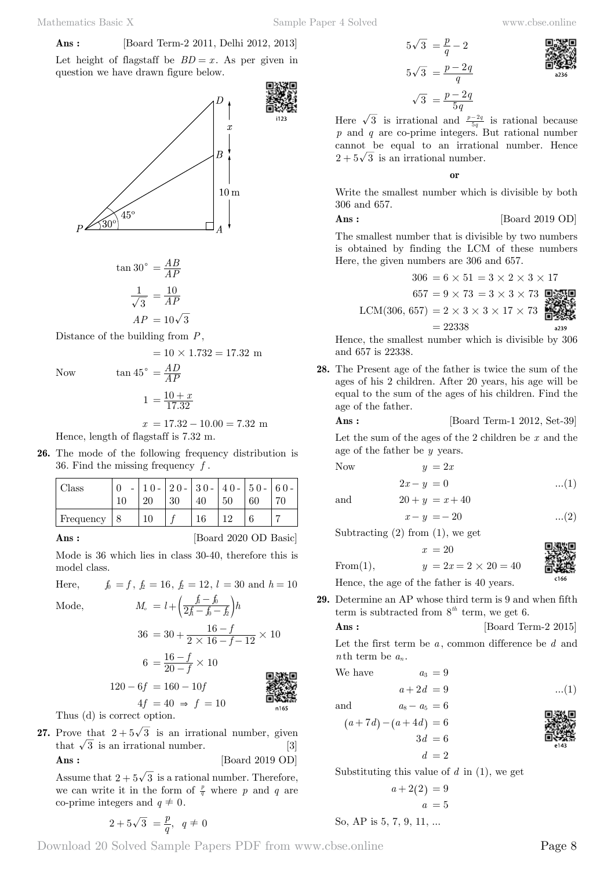**Ans :** [Board Term-2 2011, Delhi 2012, 2013]

Let height of flagstaff be  $BD = x$ . As per given in question we have drawn figure below.



$$
\tan 30^{\circ} = \frac{AB}{AP}
$$

$$
\frac{1}{\sqrt{3}} = \frac{10}{AP}
$$

$$
AP = 10\sqrt{3}
$$

Distance of the building from *P*,

Now  $\tan 45^\circ = \frac{AD}{AP}$ 

$$
1 = \frac{10 + x}{17.32}
$$

$$
x = 17.32 - 10.00 = 7.32
$$
 m

 $= 10 \times 1.732 = 17.32$  m

Hence, length of flagstaff is 7.32 m.

**26.** The mode of the following frequency distribution is 36. Find the missing frequency *f* .

| Class     | 10 | 20 | $10 - 20 - 30 - 40 - 50 - 60$<br>30 | 40 | 50  | 60 |  |
|-----------|----|----|-------------------------------------|----|-----|----|--|
| Frequency |    | 10 |                                     | 16 | 1 ດ |    |  |

**Ans :** [Board 2020 OD Basic]

Mode is 36 which lies in class 30-40, therefore this is model class.

Here,  $f_0 = f$ ,  $f_2 = 16$ ,  $f_3 = 12$ ,  $l = 30$  and  $h = 10$ 

Mode,  
\n
$$
M_o = l + \left(\frac{f_i - f_b}{2f_i - f_b - f_c}\right)h
$$
\n
$$
36 = 30 + \frac{16 - f}{2 \times 16 - f - 12} \times 10
$$
\n
$$
6 = \frac{16 - f}{20 - f} \times 10
$$



Thus (d) is correct option.

**27.** Prove that  $2+5\sqrt{3}$  is an irrational number, given that  $\sqrt{3}$  is an irrational number. [3] **Ans :** [Board 2019 OD]

 $120 - 6f = 160 - 10f$ 

Assume that  $2 + 5\sqrt{3}$  is a rational number. Therefore, we can write it in the form of  $\frac{p}{q}$  where *p* and *q* are co-prime integers and  $q \neq 0$ .

 $4f = 40 \Rightarrow f = 10$ 

$$
2 + 5\sqrt{3} = \frac{p}{q}, \quad q \neq 0
$$

$$
5\sqrt{3} = \frac{p}{q} - 2
$$

$$
5\sqrt{3} = \frac{p - 2q}{q}
$$

$$
\sqrt{3} = \frac{p - 2q}{5q}
$$

Here  $\sqrt{3}$  is irrational and  $\frac{p-2q}{5q}$  is rational because *p* and *q* are co-prime integers. But rational number cannot be equal to an irrational number. Hence  $2 + 5\sqrt{3}$  is an irrational number.

 **o**

Write the smallest number which is divisible by both 306 and 657.

**Ans :** [Board 2019 OD]

The smallest number that is divisible by two numbers is obtained by finding the LCM of these numbers Here, the given numbers are 306 and 657.

$$
306 = 6 \times 51 = 3 \times 2 \times 3 \times 17
$$

$$
657 = 9 \times 73 = 3 \times 3 \times 73
$$

Hence, the smallest number which is divisible by 306 and 657 is 22338.

**28.** The Present age of the father is twice the sum of the ages of his 2 children. After 20 years, his age will be equal to the sum of the ages of his children. Find the age of the father.

$$
Ans: \qquad \qquad [\text{Board Term-1 2012, Set-39}]
$$

Let the sum of the ages of the 2 children be *x* and the age of the father be *y* years.

2*x y* - = 0 ...(1)

and  $20 + y = x + 40$ 

 $Now$ 

$$
x - y = -20 \tag{2}
$$

Subtracting  $(2)$  from  $(1)$ , we get

$$
x = 20
$$
  
From(1),  $y = 2x = 2 \times 20 = 40$ 



Hence, the age of the father is 40 years.

**29.** Determine an AP whose third term is 9 and when fifth term is subtracted from 8*th* term, we get 6.

$$
Ans : \qquad \qquad [\text{Board Term-2 2015}]
$$

Let the first term be *a* , common difference be *d* and *n*th term be  $a_n$ .

We have  $a_3 = 9$  $a + 2d = 9$  ...(1) and  $a_8 - a_5 = 6$  $(a + 7d) - (a + 4d) = 6$  $3d = 6$  $d = 2$ 

Substituting this value of *d* in (1), we get

$$
a + 2(2) = 9
$$
  

$$
a = 5
$$

So, AP is 5, 7, 9, 11, ...

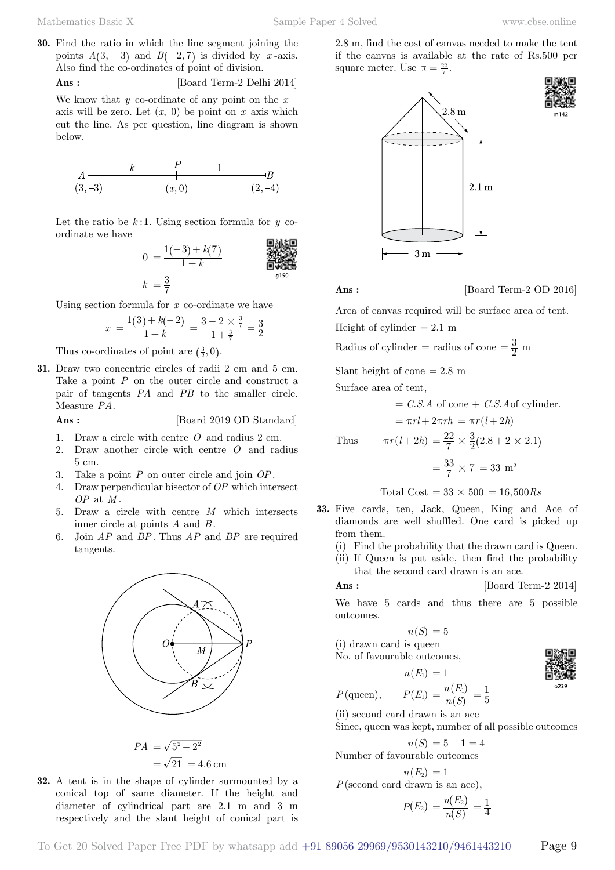**30.** Find the ratio in which the line segment joining the points  $A(3, -3)$  and  $B(-2, 7)$  is divided by *x* -axis. Also find the co-ordinates of point of division.

**Ans :** [Board Term-2 Delhi 2014]

We know that *y* co-ordinate of any point on the  $x$ axis will be zero. Let  $(x, 0)$  be point on  $x$  axis which cut the line. As per question, line diagram is shown below.

$$
\begin{array}{ccc}\n & k & P & 1 \\
(3,-3) & & (x,0) & (2,-4)\n\end{array}
$$

Let the ratio be *k* :1. Using section formula for *y* coordinate we have



Using section formula for *x* co-ordinate we have

$$
x = \frac{1(3) + k(-2)}{1 + k} = \frac{3 - 2 \times \frac{3}{7}}{1 + \frac{3}{7}} = \frac{3}{2}
$$

Thus co-ordinates of point are  $(\frac{3}{2}, 0)$ .

**31.** Draw two concentric circles of radii 2 cm and 5 cm. Take a point P on the outer circle and construct a pair of tangents *PA* and *PB* to the smaller circle. Measure *PA*.

**Ans :** [Board 2019 OD Standard]

- 1. Draw a circle with centre *O* and radius 2 cm.
- 2. Draw another circle with centre *O* and radius 5 cm.
- 3. Take a point *P* on outer circle and join *OP*.
- 4. Draw perpendicular bisector of *OP* which intersect *OP* at *M* .
- 5. Draw a circle with centre *M* which intersects inner circle at points *A* and *B* .
- 6. Join *AP* and *BP*. Thus *AP* and *BP* are required tangents.



 $PA = \sqrt{5^2 - 2^2}$  $=\sqrt{21} = 4.6 \text{ cm}$ 

**32.** A tent is in the shape of cylinder surmounted by a conical top of same diameter. If the height and diameter of cylindrical part are 2.1 m and 3 m respectively and the slant height of conical part is 2.8 m, find the cost of canvas needed to make the tent if the canvas is available at the rate of Rs.500 per square meter. Use  $\pi = \frac{22}{7}$ .



Area of canvas required will be surface area of tent.

 $= \pi r l + 2\pi r h = \pi r (l + 2h)$ 

 $= C.S.A$  of cone  $+ C.S.A$  of cylinder.

 $=\frac{22}{7} \times \frac{3}{2} (2.8 + 2 \times 2.1)$ 

Radius of cylinder = radius of cone =  $\frac{3}{2}$  m

Thus  $\pi r (l + 2h) = \frac{22}{7} \times \frac{3}{2} (2.8 + 2 \times 2.$ 

 $=\frac{33}{7} \times 7 = 33$  m<sup>2</sup>



diamonds are well shuffled. One card is picked up

(i) Find the probability that the drawn card is Queen.

Total Cost =  $33 \times 500 = 16{,}500Rs$ 

- (ii) If Queen is put aside, then find the probability
- that the second card drawn is an ace. **Ans :** [Board Term-2 2014]

**33.** Five cards, ten, Jack, Queen, King and Ace of

 $\frac{1}{5}$ 

We have 5 cards and thus there are 5 possible outcomes.

$$
n(S) = 5
$$

(i) drawn card is queen

No. of favourable outcomes,

$$
n(E_1)=1
$$

$$
P(\text{queen}), \qquad P(E_1) = \frac{n(E_1)}{n(S)} = \frac{1}{5}
$$

(ii) second card drawn is an ace

Since, queen was kept, number of all possible outcomes

$$
n(S) = 5 - 1 = 4
$$
  
Number of favourable outcomes

$$
n(E_2) = 1
$$
  

$$
P(\text{second card drawn is an ace}),
$$

$$
P(E_2) = \frac{n(E_2)}{n(S)} = \frac{1}{4}
$$



**Ans :** [Board Term-2 OD 2016]

Height of cylinder  $= 2.1$  m

Slant height of cone  $= 2.8$  m

Surface area of tent,

from them.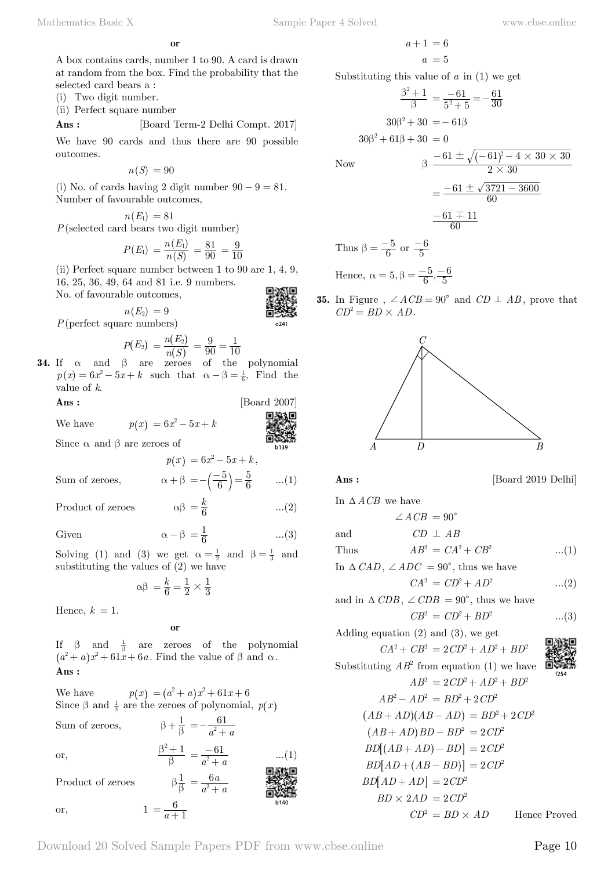**o**

A box contains cards, number 1 to 90. A card is drawn at random from the box. Find the probability that the selected card bears a :

(i) Two digit number.

(ii) Perfect square number

 **Ans :** [Board Term-2 Delhi Compt. 2017]

We have 90 cards and thus there are 90 possible outcomes.

 $n(S) = 90$ 

(i) No. of cards having 2 digit number  $90 - 9 = 81$ . Number of favourable outcomes,

$$
n(E_1) = 81
$$
  
*P*(selected card bears two digit number)

$$
P(E_1) = \frac{n(E_1)}{n(S)} = \frac{81}{90} = \frac{9}{10}
$$

(ii) Perfect square number between 1 to 90 are 1, 4, 9,

16, 25, 36, 49, 64 and 81 i.e. 9 numbers.

No. of favourable outcomes,

$$
n(E_2) = 9
$$
  
 $P$ (perfect square numbers)

$$
P(E_2) = \frac{n(E_2)}{n(S)} = \frac{9}{90} = \frac{1}{10}
$$

**34.** If  $\alpha$  and  $\beta$  are zeroes of the polynomial  $p(x) = 6x^2 - 5x + k$  such that  $\alpha - \beta = \frac{1}{6}$ , Find the value of *k*.

$$
\mathbf{Ans}:
$$

We have  $p(x) = 6x^2 - 5x + k$ 

Since  $\alpha$  and  $\beta$  are zeroes of

$$
p(x) = 6x^2 - 5x + k,
$$

[Board 2007]

 $0241$ 

Sum of zeroes,  $\alpha + \beta = -\left(\frac{-5}{6}\right)$  $=-\left(\frac{-5}{6}\right)=\frac{5}{6}$  ...(1)

Product of zeroes  $\alpha\beta = \frac{k}{6}$  ...(2)

Given 
$$
\alpha - \beta = \frac{1}{6}
$$
 ...(3)

Solving (1) and (3) we get  $\alpha = \frac{1}{2}$  and  $\beta = \frac{1}{3}$  and substituting the values of (2) we have

$$
\alpha\beta = \frac{k}{6} = \frac{1}{2} \times \frac{1}{3}
$$

Hence,  $k = 1$ .

 **o**

If  $\beta$  and  $\frac{1}{\beta}$  are zeroes of the polynomial  $(a^2 + a)x^2 + 61x + 6a$ . Find the value of β and α.  **Ans :**

We have  $p(x) = (a^2 + a)x^2 + 61x + 6$ Since  $\beta$  and  $\frac{1}{\beta}$  are the zeroes of polynomial,  $p(x)$ 

> $^{2}+1$ β  $\beta^2 +$

 $=\frac{6}{a+1}$ 

Sum of zeroes,

or,

Product of zeroes  $\beta \frac{1}{\beta} = \frac{6a}{a^2 + a}$ 

or, 1

$$
a+1 = 6
$$
  

$$
a = 5
$$

Substituting this value of *a* in (1) we get

$$
\frac{\beta^2 + 1}{\beta} = \frac{-61}{5^2 + 5} = -\frac{61}{30}
$$

$$
30\beta^2 + 30 = -61\beta
$$

 $30\beta^2 + 61\beta + 30 = 0$ 

Now  
\n
$$
\beta \frac{-61 \pm \sqrt{(-61)^2 - 4 \times 30 \times 30}}{2 \times 30}
$$
\n
$$
= \frac{-61 \pm \sqrt{3721 - 3600}}{60}
$$
\n
$$
\frac{-61 \mp 11}{60}
$$

 $- 61 \pm \sqrt{(-61)^2 - 4 \times 30 \times}$ 

Thus 
$$
\beta = \frac{-5}{6}
$$
 or  $\frac{-6}{5}$   
Hence,  $\alpha = 5, \beta = \frac{-5}{6}, \frac{-6}{5}$ 

**35.** In Figure ,  $\angle ACB = 90^{\circ}$  and  $CD \perp AB$ , prove that  $CD^2 = BD \times AD$ .



**Ans :** [Board 2019 Delhi]

In  $\triangle ACB$  we have

 $\angle ACB = 90^\circ$ and  $CD \perp AB$ Thus  $AB^2 = CA^2 + CB^2$  ...(1) In  $\triangle$  *CAD*,  $\angle$  *ADC* = 90°, thus we have  $CA^2 = CD^2 + AD^2$  ...(2) and in  $\triangle CDB$ ,  $\angle CDB = 90^{\circ}$ , thus we have  $CB^2 = CD^2 + BD^2$  ...(3) Adding equation (2) and (3), we get  $CA^{2} + CB^{2} = 2CD^{2} + AD^{2} + BD^{2}$ Substituting  $AB^2$  from equation (1) we have f254  $AB^2 = 2CD^2 + AD^2 + BD^2$  $AB^2 - AD^2 = BD^2 + 2CD^2$  $(AB + AD)(AB - AD) = BD^2 + 2CD^2$  $(AB + AD)BD - BD^2 = 2CD^2$  $BD[(AB + AD) - BD] = 2CD^2$  $BD[AD + (AB - BD)] = 2CD^2$  $BD[AD + AD] = 2CD^2$  $BD \times 2AD = 2CD^2$ 

 $CD^2 = BD \times AD$  Hence Proved

 $=-\frac{61}{a^2+a}$ 

 $=\frac{-61}{a^2+a}$  ...(1)